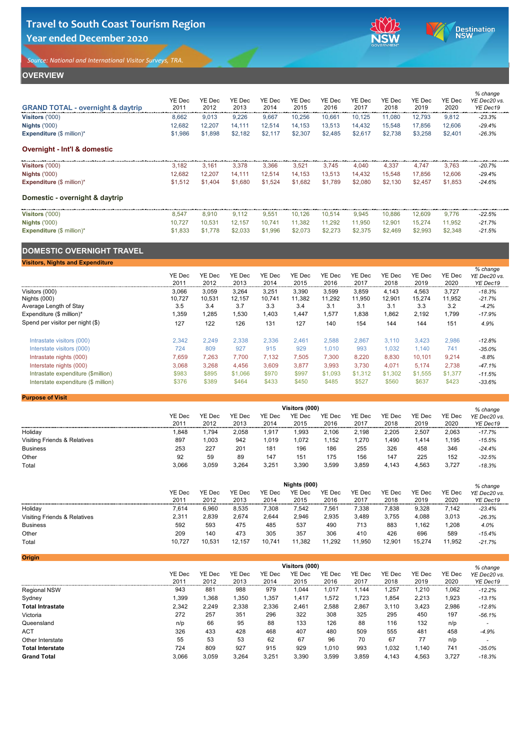# **OVERVIEW**

| <b>GRAND TOTAL - overnight &amp; daytrip</b> | YE Dec<br>2011 | <b>YE Dec</b><br>2012 | <b>YE Dec</b><br>2013 | <b>YE Dec</b><br>2014 | <b>YE Dec</b><br>2015 | <b>YE Dec</b><br>2016 | <b>YE Dec</b><br>2017 | YE Dec<br>2018 | <b>YE Dec</b><br>2019 | <b>YE Dec</b><br>2020 | % change<br>YE Dec20 vs.<br>YE Dec19 |
|----------------------------------------------|----------------|-----------------------|-----------------------|-----------------------|-----------------------|-----------------------|-----------------------|----------------|-----------------------|-----------------------|--------------------------------------|
| Visitors ('000)                              | 8,662          | 9,013                 | 9,226                 | 9,667                 | 10,256                | 10,661                | 10,125                | 11,080         | 12,793                | 9,812                 | $-23.3%$                             |
| <b>Nights ('000)</b>                         | 12,682         | 12,207                | 14,111                | 12,514                | 14,153                | 13,513                | 14,432                | 15,548         | 17,856                | 12,606                | $-29.4%$                             |
| <b>Expenditure</b> $(\$ \text{ million})^*$  | \$1,986        | \$1,898               | \$2,182               | \$2,117               | \$2,307               | \$2,485               | \$2,617               | \$2,738        | \$3,258               | \$2,401               | $-26.3%$                             |
| <b>Overnight - Int'l &amp; domestic</b>      |                |                       |                       |                       |                       |                       |                       |                |                       |                       |                                      |
| <b>Visitors ('000)</b>                       | 3,182          | 3,161                 | 3,378                 | 3,366                 | 3,521                 | 3,745                 | 4,040                 | 4,337          | 4,747                 | 3,763                 | $-20.7%$                             |
| <b>Nights ('000)</b>                         | 12,682         | 12,207                | 14,111                | 12,514                | 14,153                | 13,513                | 14,432                | 15,548         | 17,856                | 12,606                | $-29.4%$                             |
| <b>Expenditure</b> $(\$ \text{ million})^*$  | \$1,512        | \$1,404               | \$1,680               | \$1,524               | \$1,682               | \$1,789               | \$2,080               | \$2,130        | \$2,457               | \$1,853               | $-24.6%$                             |
| Domestic - overnight & daytrip               |                |                       |                       |                       |                       |                       |                       |                |                       |                       |                                      |
| Visitors ('000)                              | 8,547          | 8,910                 | 9,112                 | 9,551                 | 10,126                | 10,514                | 9,945                 | 10,886         | 12,609                | 9,776                 | $-22.5%$                             |
| <b>Nights ('000)</b>                         | 10,727         | 10,531                | 12,157                | 10,741                | 11,382                | 11,292                | 11,950                | 12,901         | 15,274                | 11,952                | $-21.7%$                             |
| <b>Expenditure</b> $(\$ \text{ million})^*$  | \$1,833        | \$1,778               | \$2,033               | \$1,996               | \$2,073               | \$2,273               | \$2,375               | \$2,469        | \$2,993               | \$2,348               | $-21.5%$                             |
| <b>DOMESTIC OVERNIGHT TRAVEL</b>             |                |                       |                       |                       |                       |                       |                       |                |                       |                       |                                      |
| <b>Visitors, Nights and Expenditure</b>      |                |                       |                       |                       |                       |                       |                       |                |                       |                       |                                      |
|                                              | YE Dec<br>2011 | <b>YE Dec</b><br>2012 | <b>YE Dec</b><br>2013 | YE Dec<br>2014        | <b>YE Dec</b><br>2015 | <b>YE Dec</b><br>2016 | <b>YE Dec</b><br>2017 | YE Dec<br>2018 | YE Dec<br>2019        | <b>YE Dec</b><br>2020 | % change<br>YE Dec20 vs.<br>YE Dec19 |
| Visitors (000)                               | 3,066          | 3,059                 | 3,264                 | 3,251                 | 3,390                 | 3,599                 | 3,859                 | 4,143          | 4,563                 | 3,727                 | $-18.3%$                             |
| Nights (000)                                 | 10,727         | 10,531                | 12,157                | 10,741                | 11,382                | 11,292                | 11,950                | 12,901         | 15,274                | 11,952                | $-21.7%$                             |

| Expenditure $(\$$ million)*         | ,359  | ,285  | ,530    | ,403  | .447  | ,577    | ,838    | ,862    | 2,192   | ,799    | $-17.9%$ |
|-------------------------------------|-------|-------|---------|-------|-------|---------|---------|---------|---------|---------|----------|
| Spend per visitor per night (\$)    | 127   | 122   | 126     | 131   | 127   | 140     | 154     | 144     | 144     | 151     | 4.9%     |
| Intrastate visitors (000)           | 2,342 | 2,249 | 2,338   | 2,336 | 2,461 | 2,588   | 2,867   | 3,110   | 3,423   | 2,986   | $-12.8%$ |
| Interstate visitors (000)           | 724   | 809   | 927     | 915   | 929   | 1,010   | 993     | 1,032   | 1,140   | 741     | $-35.0%$ |
| Intrastate nights (000)             | 7,659 | 7,263 | 7,700   | 7,132 | 7,505 | 7,300   | 8,220   | 8,830   | 10,101  | 9,214   | $-8.8%$  |
| Interstate nights (000)             | 3,068 | 3,268 | 4,456   | 3,609 | 3,877 | 3,993   | 3,730   | 4,071   | 5,174   | 2,738   | $-47.1%$ |
| Intrastate expenditure (\$million)  | \$983 | \$895 | \$1,066 | \$970 | \$997 | \$1,093 | \$1,312 | \$1,302 | \$1,555 | \$1,377 | $-11.5%$ |
| Interstate expenditure (\$ million) | \$376 | \$389 | \$464   | \$433 | \$450 | \$485   | \$527   | \$560   | \$637   | \$423   | $-33.6%$ |

Average Length of Stay **3.5** 3.4 3.7 3.3 3.4 3.1 3.1 3.3 3.4 3.2 *-4.2%* 

### **Purpose of Visit**

|                                         | Visitors (000)        |                       |                       |                       |                       |                       |                       |                       |                       |                       | $%$ change               |
|-----------------------------------------|-----------------------|-----------------------|-----------------------|-----------------------|-----------------------|-----------------------|-----------------------|-----------------------|-----------------------|-----------------------|--------------------------|
|                                         | <b>YE Dec</b><br>2011 | <b>YE Dec</b><br>2012 | <b>YE Dec</b><br>2013 | <b>YE Dec</b><br>2014 | <b>YE Dec</b><br>2015 | <b>YE Dec</b><br>2016 | <b>YE Dec</b><br>2017 | <b>YE Dec</b><br>2018 | <b>YE Dec</b><br>2019 | <b>YE Dec</b><br>2020 | YE Dec20 vs.<br>YE Dec19 |
|                                         |                       |                       |                       |                       |                       |                       |                       |                       |                       |                       |                          |
| Holiday                                 | ,848                  | ,794                  | 2,058                 | ,917                  | ,993                  | 2,106                 | 2,198                 | 2,205                 | 2,507                 | 2,063                 | $-17.7%$                 |
| <b>Visiting Friends &amp; Relatives</b> | 897                   | 1,003                 | 942                   | ,019                  | ,072                  | ,152                  | ,270                  | 1,490                 | ,414                  | 1,195                 | $-15.5%$                 |
| <b>Business</b>                         | 253                   | 227                   | 201                   | 181                   | 196                   | 186                   | 255                   | 326                   | 458                   | 346                   | $-24.4%$                 |
| Other                                   | 92                    | 59                    | 89                    | 147                   | 151                   | 175                   | 156                   | 147                   | 225                   | 152                   | $-32.5%$                 |
| Total                                   | 3,066                 | 3,059                 | 3,264                 | 3,251                 | 3,390                 | 3,599                 | 3,859                 | 4,143                 | 4,563                 | 3,727                 | $-18.3%$                 |

|                                         | Nights (000)  |               |               |               |               |               |               |               |               |               | $%$ change   |
|-----------------------------------------|---------------|---------------|---------------|---------------|---------------|---------------|---------------|---------------|---------------|---------------|--------------|
|                                         | <b>YE Dec</b> | <b>YE Dec</b> | <b>YE Dec</b> | <b>YE Dec</b> | <b>YE Dec</b> | <b>YE Dec</b> | <b>YE Dec</b> | <b>YE Dec</b> | <b>YE Dec</b> | <b>YE Dec</b> | YE Dec20 vs. |
|                                         | 2011          | 2012          | 2013          | 2014          | 2015          | 2016          | 2017          | 2018          | 2019          | 2020          | YE Dec19     |
| Holiday                                 | 7,614         | 6,960         | 8,535         | 7,308         | 7,542         | 7,561         | 7,338         | 7,838         | 9,328         | 7,142         | $-23.4%$     |
| <b>Visiting Friends &amp; Relatives</b> | 2,311         | 2,839         | 2,674         | 2,644         | 2,946         | 2,935         | 3,489         | 3,755         | 4,088         | 3,013         | $-26.3%$     |
| <b>Business</b>                         | 592           | 593           | 475           | 485           | 537           | 490           | 713           | 883           | 1,162         | 1,208         | 4.0%         |
| Other                                   | 209           | 140           | 473           | 305           | 357           | 306           | 410           | 426           | 696           | 589           | $-15.4%$     |
| Total                                   | 10,727        | 10,531        | 12,157        | 10,741        | 11,382        | 11,292        | 11,950        | 12,901        | 15,274        | 11,952        | $-21.7%$     |

| Origin                  |               |               |               |               |                |               |               |               |               |               |              |
|-------------------------|---------------|---------------|---------------|---------------|----------------|---------------|---------------|---------------|---------------|---------------|--------------|
|                         |               |               |               |               | Visitors (000) |               |               |               |               |               | % change     |
|                         | <b>YE Dec</b> | <b>YE Dec</b> | <b>YE Dec</b> | <b>YE Dec</b> | <b>YE Dec</b>  | <b>YE Dec</b> | <b>YE Dec</b> | <b>YE Dec</b> | <b>YE Dec</b> | <b>YE Dec</b> | YE Dec20 vs. |
|                         | 2011          | 2012          | 2013          | 2014          | 2015           | 2016          | 2017          | 2018          | 2019          | 2020          | YE Dec19     |
| <b>Regional NSW</b>     | 943           | 881           | 988           | 979           | 1,044          | 017, ا        | 1,144         | 1,257         | 1,210         | 1,062         | $-12.2%$     |
| Sydney                  | 1,399         | ,368          | 1,350         | ,357          | 1,417          | ,572          | 1,723         | 1,854         | 2,213         | 1,923         | $-13.1%$     |
| <b>Total Intrastate</b> | 2,342         | 2,249         | 2,338         | 2,336         | 2,461          | 2,588         | 2,867         | 3,110         | 3,423         | 2,986         | $-12.8%$     |
| Victoria                | 272           | 257           | 351           | 296           | 322            | 308           | 325           | 295           | 450           | 197           | $-56.1%$     |
| Queensland              | n/p           | 66            | 95            | 88            | 133            | 126           | 88            | 116           | 132           | n/p           |              |
| <b>ACT</b>              | 326           | 433           | 428           | 468           | 407            | 480           | 509           | 555           | 481           | 458           | $-4.9%$      |
| Other Interstate        | 55            | 53            | 53            | 62            | 67             | 96            | 70            | 67            | 77            | n/p           |              |
| <b>Total Interstate</b> | 724           | 809           | 927           | 915           | 929            | 1,010         | 993           | 1,032         | 1,140         | 741           | $-35.0%$     |
| <b>Grand Total</b>      | 3,066         | 3,059         | 3,264         | 3,251         | 3,390          | 3,599         | 3,859         | 4,143         | 4,563         | 3,727         | $-18.3%$     |

# **Travel to South Coast Tourism Region Year ended December 2020**



Destination

*Source: National and International Visitor Surveys, TRA.*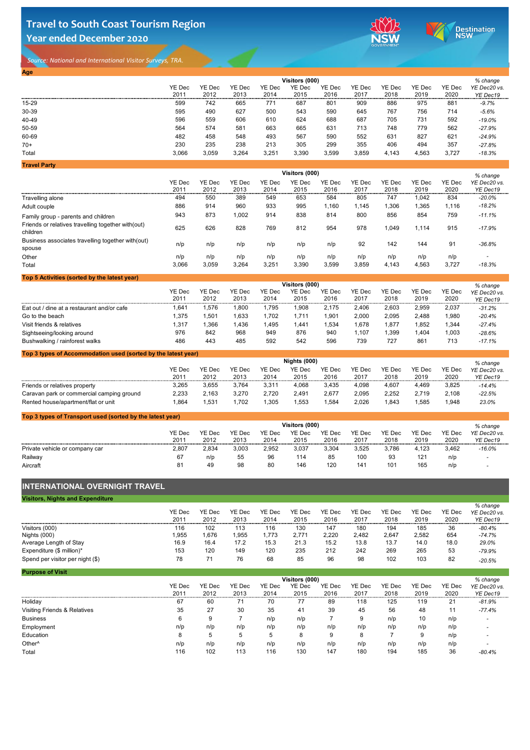# **Travel to South Coast Tourism Region Year ended December 2020**



Destination

*Source: National and International Visitor Surveys, TRA.* 

#### **Top 3 types of Accommodation used (sorted by the latest year)**

| <b>Age</b>          |               |               |               |               |                |               |               |               |               |               |              |
|---------------------|---------------|---------------|---------------|---------------|----------------|---------------|---------------|---------------|---------------|---------------|--------------|
|                     |               |               |               |               | Visitors (000) |               |               |               |               |               | % change     |
|                     | <b>YE Dec</b> | <b>YE Dec</b> | <b>YE Dec</b> | <b>YE Dec</b> | <b>YE Dec</b>  | <b>YE Dec</b> | <b>YE Dec</b> | <b>YE Dec</b> | <b>YE Dec</b> | <b>YE Dec</b> | YE Dec20 vs. |
|                     | 2011          | 2012          | 2013          | 2014          | 2015           | 2016          | 2017          | 2018          | 2019          | 2020          | YE Dec19     |
| $15 - 29$           | 599           | 742           | 665           | 771           | 687            | 801           | 909           | 886           | 975           | 881           | $-9.7%$      |
| 30-39               | 595           | 490           | 627           | 500           | 543            | 590           | 645           | 767           | 756           | 714           | $-5.6%$      |
| 40-49               | 596           | 559           | 606           | 610           | 624            | 688           | 687           | 705           | 731           | 592           | $-19.0\%$    |
| 50-59               | 564           | 574           | 581           | 663           | 665            | 631           | 713           | 748           | 779           | 562           | $-27.9%$     |
| 60-69               | 482           | 458           | 548           | 493           | 567            | 590           | 552           | 631           | 827           | 621           | $-24.9%$     |
| $70+$               | 230           | 235           | 238           | 213           | 305            | 299           | 355           | 406           | 494           | 357           | $-27.8%$     |
| <b>Total</b>        | 3,066         | 3,059         | 3,264         | 3,251         | 3,390          | 3,599         | 3,859         | 4,143         | 4,563         | 3,727         | $-18.3%$     |
| <b>Travel Party</b> |               |               |               |               |                |               |               |               |               |               |              |

|                                                                 | <b>Visitors (000)</b> |               |               |               |                       |               |               |               |               | $%$ change    |                          |
|-----------------------------------------------------------------|-----------------------|---------------|---------------|---------------|-----------------------|---------------|---------------|---------------|---------------|---------------|--------------------------|
|                                                                 | <b>YE Dec</b>         | <b>YE Dec</b> | <b>YE Dec</b> | <b>YE Dec</b> | <b>YE Dec</b>         | <b>YE Dec</b> | <b>YE Dec</b> | <b>YE Dec</b> | <b>YE Dec</b> | <b>YE Dec</b> | YE Dec20 vs.             |
|                                                                 | 2011                  | 2012          | 2013          | 2014          | 2015                  | 2016          | 2017          | 2018          | 2019          | 2020          | YE Dec19                 |
| <b>Travelling alone</b>                                         | 494                   | 550           | 389           | 549           | 653                   | 584           | 805           | 747           | 1,042         | 834           | $-20.0\%$                |
| Adult couple                                                    | 886                   | 914           | 960           | 933           | 995                   | 1,160         | 1,145         | 1,306         | 1,365         | 1,116         | $-18.2%$                 |
| Family group - parents and children                             | 943                   | 873           | 1,002         | 914           | 838                   | 814           | 800           | 856           | 854           | 759           | $-11.1%$                 |
| Friends or relatives travelling together with (out)<br>children | 625                   | 626           | 828           | 769           | 812                   | 954           | 978           | 1,049         | 1,114         | 915           | $-17.9%$                 |
| Business associates travelling together with (out)<br>spouse    | n/p                   | n/p           | n/p           | n/p           | n/p                   | n/p           | 92            | 142           | 144           | 91            | $-36.8%$                 |
| Other                                                           | n/p                   | n/p           | n/p           | n/p           | n/p                   | n/p           | n/p           | n/p           | n/p           | n/p           | $\overline{\phantom{a}}$ |
| Total                                                           | 3,066                 | 3,059         | 3,264         | 3,251         | 3,390                 | 3,599         | 3,859         | 4,143         | 4,563         | 3,727         | $-18.3%$                 |
| Top 5 Activities (sorted by the latest year)                    |                       |               |               |               |                       |               |               |               |               |               |                          |
|                                                                 |                       |               |               |               | <b>Visitors (000)</b> |               |               |               |               |               | % change                 |
|                                                                 | <b>YE Dec</b>         | <b>YE Dec</b> | <b>YE Dec</b> | <b>YE Dec</b> | <b>YE Dec</b>         | <b>YE Dec</b> | <b>YE Dec</b> | YE Dec        | <b>YE Dec</b> | YE Dec        | YE Dec20 vs.             |

|                                            | YE DEC<br>2011 | YE Dec<br>2012 | YE DEC<br>2013 | YE DEC<br>2014 | YE DEC<br>2015 | YE DEC<br>2016 | YE Dec<br>2017 | YE DEC<br>2018 | YE DEC<br>2019 | YE DEC<br>2020 | YE Dec20 vs. |
|--------------------------------------------|----------------|----------------|----------------|----------------|----------------|----------------|----------------|----------------|----------------|----------------|--------------|
|                                            |                |                |                |                |                |                |                |                |                |                | YE Dec19     |
| Eat out / dine at a restaurant and/or cafe | 1,641          | .576           | ,800           | 1,795          | ,908           | 2,175          | 2,406          | 2,603          | 2,959          | 2,037          | $-31.2%$     |
| Go to the beach                            | 1,375          | .501           | ,633           | 1,702          |                | ,901           | 2,000          | 2,095          | 2,488          | 0.980          | $-20.4%$     |
| Visit friends & relatives                  | 1,317          | ,366           | ,436           | 1,495          | ,441           | ,534           | 678,           | 877,           | ,852           | 1,344          | $-27.4%$     |
| Sightseeing/looking around                 | 976            | 842            | 968            | 949            | 876            | 940            | .107           | ,399           | ,404           | .003           | $-28.6%$     |
| Bushwalking / rainforest walks             | 486            | 443            | 485            | 592            | 542            | 596            | 739            | 727            | 861            | 713            | $-17.1%$     |

## **INTERNATIONAL OVERNIGHT TRAVEL**

|                                           | Nights (000) |               |               |               |               |               |        |               |               |               | % change     |  |
|-------------------------------------------|--------------|---------------|---------------|---------------|---------------|---------------|--------|---------------|---------------|---------------|--------------|--|
|                                           | YE Dec       | <b>YE Dec</b> | <b>YE Dec</b> | <b>YE Dec</b> | <b>YE Dec</b> | <b>YE Dec</b> | YE Dec | <b>YE Dec</b> | <b>YE Dec</b> | <b>YE Dec</b> | YE Dec20 vs. |  |
|                                           | 2011         | 2012          | 2013          | 2014          | 2015          | 2016          | 2017   | 2018          | 2019          | 2020          | YE Dec19     |  |
| Friends or relatives property             | 3,265        | 3,655         | 3,764         | 3,311         | 4,068         | 3,435         | 4,098  | 4,607         | 4,469         | 3,825         | $-14.4%$     |  |
| Caravan park or commercial camping ground | 2,233        | 2.163         | 3,270         | 2,720         | 2,491         | 2,677         | 2,095  | 2,252         | 2.719         | 2,108         | $-22.5%$     |  |
| Rented house/apartment/flat or unit       | .864         | .531          | .702          | ,305          | ,553          | ,584          | 2,026  | ,843          | ,585          | 1,948         | 23.0%        |  |

| <b>Visitors, Nights and Expenditure</b> |               |               |        |               |               |               |               |               |               |               |              |
|-----------------------------------------|---------------|---------------|--------|---------------|---------------|---------------|---------------|---------------|---------------|---------------|--------------|
|                                         |               |               |        |               |               |               |               |               |               |               | $%$ change   |
|                                         | <b>YE Dec</b> | <b>YE Dec</b> | YE Dec | <b>YE Dec</b> | <b>YE Dec</b> | <b>YE Dec</b> | <b>YE Dec</b> | <b>YE Dec</b> | <b>YE Dec</b> | <b>YE Dec</b> | YE Dec20 vs. |
|                                         | 2011          | 2012          | 2013   | 2014          | 2015          | 2016          | 2017          | 2018          | 2019          | 2020          | YE Dec19     |
| Visitors (000)                          | 116           | 102           | 113    | 116           | 130           | 147           | 180           | 194           | 185           | 36            | $-80.4%$     |
| Nights (000)                            | ,955          | .676          | ,955   | 1,773         | 2,771         | 2,220         | 2,482         | 2,647         | 2,582         | 654           | $-74.7%$     |
| Average Length of Stay                  | 16.9          | 16.4          | 17.2   | 15.3          | 21.3          | 15.2          | 13.8          | 13.7          | 14.0          | 18.0          | 29.0%        |
| Expenditure (\$ million)*               | 153           | 120           | 149    | 120           | 235           | 212           | 242           | 269           | 265           | 53            | $-79.9%$     |
| Spend per visitor per night (\$)        | 78            |               | 76     | 68            | 85            | 96            | 98            | 102           | 103           | 82            | $-20.5%$     |

#### **Top 3 types of Transport used (sorted by the latest year)** YE Dec 2011 YE Dec 2012 YE Dec 2013 YE Dec 2014 YE Dec 2015 YE Dec 2016 YE Dec 2017 YE Dec 2018 YE Dec 2019 YE Dec 2020 Private vehicle or company car 2,807 2,834 3,003 2,952 3,037 3,304 3,525 3,786 4,123 3,462 *-16.0%* Railway 67 n/p 55 96 114 85 100 93 121 n/p *-* Aircraft 81 49 98 80 146 120 141 101 165 n/p *- % change YE Dec20 vs. YE Dec19* **Visitors (000)**

| <b>Purpose of Visit</b>                 |               |               |               |               |                |               |               |               |               |        |                          |
|-----------------------------------------|---------------|---------------|---------------|---------------|----------------|---------------|---------------|---------------|---------------|--------|--------------------------|
|                                         |               |               |               |               | Visitors (000) |               |               |               |               |        | % change                 |
|                                         | <b>YE Dec</b> | <b>YE Dec</b> | <b>YE Dec</b> | <b>YE Dec</b> | <b>YE Dec</b>  | <b>YE Dec</b> | <b>YE Dec</b> | <b>YE Dec</b> | <b>YE Dec</b> | YE Dec | YE Dec20 vs.             |
|                                         | 2011          | 2012          | 2013          | 2014          | 2015           | 2016          | 2017          | 2018          | 2019          | 2020   | YE Dec19                 |
| Holiday                                 | 67            | 60            | 71            | 70            | 77             | 89            | 118           | 125           | 119           | 21     | $-81.9%$                 |
| <b>Visiting Friends &amp; Relatives</b> | 35            | 27            | 30            | 35            | 41             | 39            | 45            | 56            | 48            | $11$   | $-77.4%$                 |
| <b>Business</b>                         | 6             | 9             |               | n/p           | n/p            |               | 9             | n/p           | 10            | n/p    | $\qquad \qquad$          |
| Employment                              | n/p           | n/p           | n/p           | n/p           | n/p            | n/p           | n/p           | n/p           | n/p           | n/p    |                          |
| <b>Education</b>                        | 8             | 5             | .5            | 5             | 8              | 9             | 8             |               | 9             | n/p    | $\overline{\phantom{0}}$ |
| Other <sup>^</sup>                      | n/p           | n/p           | n/p           | n/p           | n/p            | n/p           | n/p           | n/p           | n/p           | n/p    |                          |
| <b>Total</b>                            | 116           | 102           | 113           | 116           | 130            | 147           | 180           | 194           | 185           | 36     | $-80.4\%$                |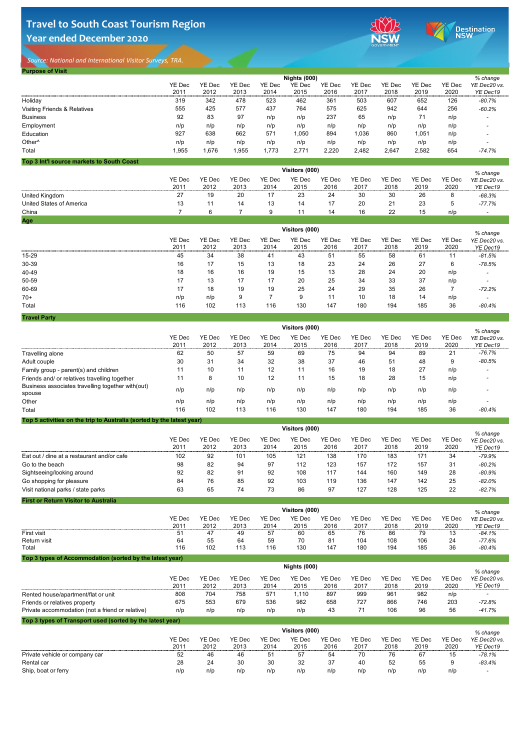# **Travel to South Coast Tourism Region Year ended December 2020**



Destination<br>NSW

*Source: National and International Visitor Surveys, TRA.* 

**Purpose of Visit**

|                                 | ----       | ---- | --- | --- | --- | --- | --- | ---      | --- | $- - -$   | . — — — — . — |
|---------------------------------|------------|------|-----|-----|-----|-----|-----|----------|-----|-----------|---------------|
| <b>United Kingdom</b>           | <u>_ 1</u> | 19   | 20  | 17  | 23  | 24  | 30  | 30       | 26  | $\bullet$ | $-68.3%$      |
| <b>United States of America</b> | 13         | 44   | 14  | 13  | 14  | 17  | 20  | 21       | 23  | . O       | $-77.7%$      |
| China                           |            |      |     | Ч   |     | 14  | 16  | 22<br>LL |     | n/p       |               |
| Age                             |            |      |     |     |     |     |     |          |     |           |               |

| <b>PUILLOUSE OF VISIL</b>                 |                |               |               |               |                     |               |               |               |               |               |                          |
|-------------------------------------------|----------------|---------------|---------------|---------------|---------------------|---------------|---------------|---------------|---------------|---------------|--------------------------|
|                                           |                |               |               |               | <b>Nights (000)</b> |               |               |               |               |               | % change                 |
|                                           | <b>YE Dec</b>  | <b>YE Dec</b> | YE Dec        | <b>YE Dec</b> | <b>YE Dec</b>       | <b>YE Dec</b> | <b>YE Dec</b> | <b>YE Dec</b> | <b>YE Dec</b> | <b>YE Dec</b> | YE Dec20 vs.             |
|                                           | 2011           | 2012          | 2013          | 2014          | 2015                | 2016          | 2017          | 2018          | 2019          | 2020          | YE Dec19                 |
| Holiday                                   | 319            | 342           | 478           | 523           | 462                 | 361           | 503           | 607           | 652           | 126           | $-80.7%$                 |
| <b>Visiting Friends &amp; Relatives</b>   | 555            | 425           | 577           | 437           | 764                 | 575           | 625           | 942           | 644           | 256           | $-60.2%$                 |
| <b>Business</b>                           | 92             | 83            | 97            | n/p           | n/p                 | 237           | 65            | n/p           | 71            | n/p           |                          |
| Employment                                | n/p            | n/p           | n/p           | n/p           | n/p                 | n/p           | n/p           | n/p           | n/p           | n/p           |                          |
| <b>Education</b>                          | 927            | 638           | 662           | 571           | 1,050               | 894           | 1,036         | 860           | 1,051         | n/p           |                          |
| Other <sup>^</sup>                        | n/p            | n/p           | n/p           | n/p           | n/p                 | n/p           | n/p           | n/p           | n/p           | n/p           |                          |
| <b>Total</b>                              | 1,955          | 1,676         | 1,955         | 1,773         | 2,771               | 2,220         | 2,482         | 2,647         | 2,582         | 654           | $-74.7%$                 |
| Top 3 Int'l source markets to South Coast |                |               |               |               |                     |               |               |               |               |               |                          |
|                                           | Visitors (000) |               |               |               |                     |               |               |               |               |               |                          |
|                                           | <b>YE Dec</b>  | <b>YE Dec</b> | <b>YE Dec</b> | <b>YE Dec</b> | <b>YE Dec</b>       | <b>YE Dec</b> | <b>YE Dec</b> | <b>YE Dec</b> | YE Dec        | <b>YE Dec</b> | % change<br>YE Dec20 vs. |
|                                           | 2011           | 2012          | 2013          | 2014          | 2015                | 2016          | 2017          | 2018          | 2019          | 2020          | YE Dec19                 |

|       | Visitors (000)        |                       |                       |                       |                       |                       |                       |                       |                       |                       | % change                 |
|-------|-----------------------|-----------------------|-----------------------|-----------------------|-----------------------|-----------------------|-----------------------|-----------------------|-----------------------|-----------------------|--------------------------|
|       | <b>YE Dec</b><br>2011 | <b>YE Dec</b><br>2012 | <b>YE Dec</b><br>2013 | <b>YE Dec</b><br>2014 | <b>YE Dec</b><br>2015 | <b>YE Dec</b><br>2016 | <b>YE Dec</b><br>2017 | <b>YE Dec</b><br>2018 | <b>YE Dec</b><br>2019 | <b>YE Dec</b><br>2020 | YE Dec20 vs.<br>YE Dec19 |
| 15-29 | 45                    | 34                    | 38                    | 41                    | 43                    | 51                    | 55                    | 58                    | 61                    | 11                    | $-81.5%$                 |
| 30-39 | 16                    | 17                    | 15                    | 13                    | 18                    | 23                    | 24                    | 26                    | 27                    | 6                     | $-78.5%$                 |
| 40-49 | 18                    | 16                    | 16                    | 19                    | 15                    | 13                    | 28                    | 24                    | 20                    | n/p                   |                          |
| 50-59 | 17                    | 13                    | 17                    | 17                    | 20                    | 25                    | 34                    | 33                    | 37                    | n/p                   |                          |
| 60-69 | 17                    | 18                    | 19                    | 19                    | 25                    | 24                    | 29                    | 35                    | 26                    |                       | $-72.2%$                 |
| $70+$ | n/p                   | n/p                   | 9                     |                       |                       | 11                    | 10                    | 18                    | 14                    | n/p                   |                          |
| Total | 116                   | 102                   | 113                   | 116                   | 130                   | 147                   | 180                   | 194                   | 185                   | 36                    | $-80.4%$                 |

**First or Return Visitor to Australia**

|                                                                       | Visitors (000)        |                |                       |                       |                       |                       |                       |                       |                       |                       | $%$ change               |
|-----------------------------------------------------------------------|-----------------------|----------------|-----------------------|-----------------------|-----------------------|-----------------------|-----------------------|-----------------------|-----------------------|-----------------------|--------------------------|
|                                                                       | <b>YE Dec</b><br>2011 | YE Dec<br>2012 | <b>YE Dec</b><br>2013 | <b>YE Dec</b><br>2014 | <b>YE Dec</b><br>2015 | <b>YE Dec</b><br>2016 | <b>YE Dec</b><br>2017 | <b>YE Dec</b><br>2018 | <b>YE Dec</b><br>2019 | <b>YE Dec</b><br>2020 | YE Dec20 vs.<br>YE Dec19 |
| Travelling alone                                                      | 62                    | 50             | 57                    | 59                    | 69                    | 75                    | 94                    | 94                    | 89                    | 21                    | $-76.7%$                 |
| Adult couple                                                          | 30                    | 31             | 34                    | 32                    | 38                    | 37                    | 46                    | 51                    | 48                    | 9                     | $-80.5%$                 |
| Family group - parent(s) and children                                 | 11                    | 10             | 11                    | 12                    | 11                    | 16                    | 19                    | 18                    | 27                    | n/p                   |                          |
| Friends and/ or relatives travelling together                         | 11                    | 8              | 10                    | 12                    | 11                    | 15                    | 18                    | 28                    | 15                    | n/p                   |                          |
| Business associates travelling together with (out)<br>spouse          | n/p                   | n/p            | n/p                   | n/p                   | n/p                   | n/p                   | n/p                   | n/p                   | n/p                   | n/p                   |                          |
| Other                                                                 | n/p                   | n/p            | n/p                   | n/p                   | n/p                   | n/p                   | n/p                   | n/p                   | n/p                   | n/p                   | $\,$                     |
| Total                                                                 | 116                   | 102            | 113                   | 116                   | 130                   | 147                   | 180                   | 194                   | 185                   | 36                    | $-80.4%$                 |
| Top 5 activities on the trip to Australia (sorted by the latest year) |                       |                |                       |                       |                       |                       |                       |                       |                       |                       |                          |
|                                                                       | <b>Visitors (000)</b> |                |                       |                       |                       |                       |                       |                       |                       |                       |                          |

## **Top 3 types of Accommodation (sorted by the latest year)**

| <b>YE Dec</b><br>2011 | <b>YE Dec</b><br>2012 | <b>YE Dec</b><br>2013 | <b>YE Dec</b><br>2014 | YE Dec<br>2015 | <b>YE Dec</b><br>2016 | <b>YE Dec</b><br>2017 | <b>YE Dec</b><br>2018 | <b>YE Dec</b><br>2019 | <b>YE Dec</b><br>2020 | % change<br>YE Dec20 vs.<br>YE Dec19 |
|-----------------------|-----------------------|-----------------------|-----------------------|----------------|-----------------------|-----------------------|-----------------------|-----------------------|-----------------------|--------------------------------------|
| 102                   | 92                    | 101                   | 105                   | 121            | 138                   | 170                   | 183                   | 171                   | 34                    | $-79.9%$                             |
| 98                    | 82                    | 94                    | 97                    | 112            | 123                   | 157                   | 172                   | 157                   | 31                    | $-80.2%$                             |
| 92                    | 82                    | 91                    | 92                    | 108            | 117                   | 144                   | 160                   | 149                   | 28                    | $-80.9%$                             |
| 84                    | 76                    | 85                    | 92                    | 103            | 119                   | 136                   | 147                   | 142                   | 25                    | $-82.0%$                             |
| 63                    | 65                    | 74                    | 73                    | 86             | 97                    | 127                   | 128                   | 125                   | 22                    | $-82.7%$                             |
|                       |                       |                       |                       |                |                       | Visitors (000)        |                       |                       |                       |                                      |

|                     |               | Visitors (000) |               |               |               |        |               |               |               |               |              |
|---------------------|---------------|----------------|---------------|---------------|---------------|--------|---------------|---------------|---------------|---------------|--------------|
|                     | <b>YE Dec</b> | <b>YE Dec</b>  | <b>YE Dec</b> | <b>YE Dec</b> | <b>YE Dec</b> | YE Dec | <b>YE Dec</b> | <b>YE Dec</b> | <b>YE Dec</b> | <b>YE Dec</b> | YE Dec20 vs. |
|                     | 2011          | 2012           | 2013          | 2014          | 2015          | 2016   | 2017          | 2018          | 2019          | 2020          | YE Dec19     |
| <b>First visit</b>  | 51            |                | 49            | 57            | 60            | 65     | 76            | 86            | 79            | 13            | $-84.1\%$    |
| <b>Return visit</b> | 64            | 55             | 64            | 59            | 70            | 81     | 104           | 108           | 106           | 24            | $-77.6%$     |
| <b>Total</b>        | 116           | 102            | 113           | 116           | 130           | 147    | 180           | 194           | 185           | 36            | $-80.4%$     |

**Top 3 types of Transport used (sorted by the latest year)**

|                                                  | <b>Nights (000)</b> |        |               |        |               |               |        |               |               |               | % change     |
|--------------------------------------------------|---------------------|--------|---------------|--------|---------------|---------------|--------|---------------|---------------|---------------|--------------|
|                                                  | YE Dec              | YE Dec | <b>YE Dec</b> | YE Dec | <b>YE Dec</b> | <b>YE Dec</b> | YE Dec | <b>YE Dec</b> | <b>YE Dec</b> | <b>YE Dec</b> | YE Dec20 vs. |
|                                                  | 2011                | 2012   | 2013          | 2014   | 2015          | 2016          | 2017   | 2018          | 2019          | 2020          | YE Dec19     |
| Rented house/apartment/flat or unit              | 808                 | 704    | 758           | 571    | .110          | 897           | 999    | 961           | 982           | n/p           |              |
| Friends or relatives property                    | 675                 | 553    | 679           | 536    | 982           | 658           | 727    | 866           | 746           | 203           | $-72.8%$     |
| Private accommodation (not a friend or relative) | n/p                 | n/p    | n/p           | n/p    | n/p           | 43            | 71     | 106           | 96            | 56            | $-41.7%$     |

|                                | <b>YE Dec</b> | <b>YE Dec</b> | <b>YE Dec</b> | <b>YE Dec</b> | YE Dec | <b>YE Dec</b> | <b>YE Dec</b> | <b>YE Dec</b> | YE Dec | <b>YE Dec</b> | YE Dec20 vs.             |
|--------------------------------|---------------|---------------|---------------|---------------|--------|---------------|---------------|---------------|--------|---------------|--------------------------|
|                                | 201'          | 2012          | 2013          | 2014          | 2015   | 2016          | 2017          | 2018          | 2019   | 2020          | YE Dec19                 |
| Private vehicle or company car | 52            | 46            | 46            | 51            | 57     | 54            | 70            | 76            | 67     |               | $-78.1%$                 |
| <b>Rental car</b>              | 28            | 24            | 30            | 30            | 32     | 37            | 40            | 52            | 55     |               | $-83.4%$                 |
| Ship, boat or ferry            | n/p           | n/p           | n/p           | n/p           | n/p    | n/p           | n/p           | n/p           | n/p    | n/p           | $\overline{\phantom{a}}$ |

### **Visitors (000)**

#### *% change*